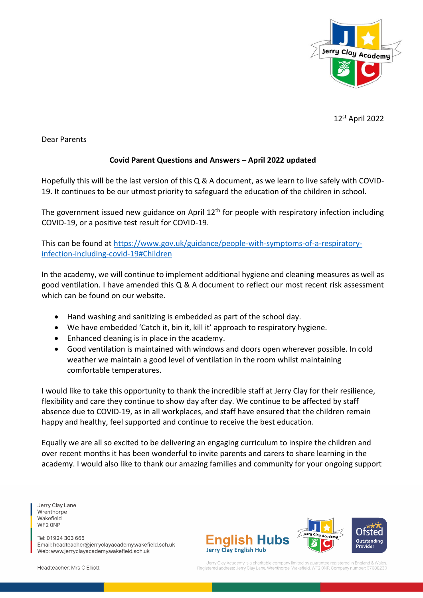

12st April 2022

Dear Parents

### **Covid Parent Questions and Answers – April 2022 updated**

Hopefully this will be the last version of this Q & A document, as we learn to live safely with COVID-19. It continues to be our utmost priority to safeguard the education of the children in school.

The government issued new guidance on April  $12<sup>th</sup>$  for people with respiratory infection including COVID-19, or a positive test result for COVID-19.

This can be found a[t https://www.gov.uk/guidance/people-with-symptoms-of-a-respiratory](https://www.gov.uk/guidance/people-with-symptoms-of-a-respiratory-infection-including-covid-19#Children)[infection-including-covid-19#Children](https://www.gov.uk/guidance/people-with-symptoms-of-a-respiratory-infection-including-covid-19#Children)

In the academy, we will continue to implement additional hygiene and cleaning measures as well as good ventilation. I have amended this Q & A document to reflect our most recent risk assessment which can be found on our website.

- Hand washing and sanitizing is embedded as part of the school day.
- We have embedded 'Catch it, bin it, kill it' approach to respiratory hygiene.
- Enhanced cleaning is in place in the academy.
- Good ventilation is maintained with windows and doors open wherever possible. In cold weather we maintain a good level of ventilation in the room whilst maintaining comfortable temperatures.

I would like to take this opportunity to thank the incredible staff at Jerry Clay for their resilience, flexibility and care they continue to show day after day. We continue to be affected by staff absence due to COVID-19, as in all workplaces, and staff have ensured that the children remain happy and healthy, feel supported and continue to receive the best education.

Equally we are all so excited to be delivering an engaging curriculum to inspire the children and over recent months it has been wonderful to invite parents and carers to share learning in the academy. I would also like to thank our amazing families and community for your ongoing support

Jerry Clay Lane Wrenthorpe Wakefield WF2 ONP

Tel: 01924 303 665 Email: headteacher@jerryclayacademy.wakefield.sch.uk Web: www.jerryclayacademy.wakefield.sch.uk



Headteacher: Mrs C Elliott

Jerry Clay Academy is a charitable company limited by quara tee registered in England & Wales Jerry Clay Lane, Wrenthorpe, Wakefield, WF2 ONP. Company nu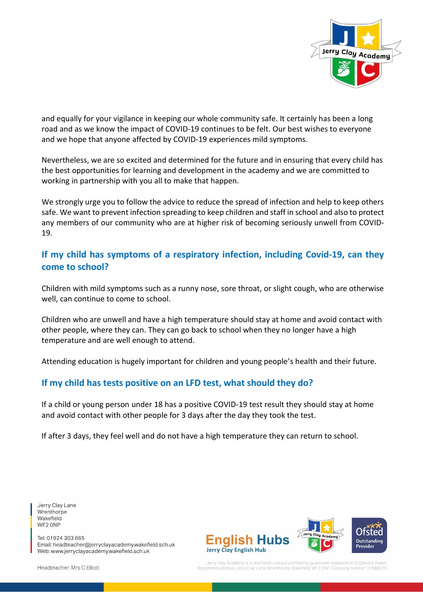

and equally for your vigilance in keeping our whole community safe. It certainly has been a long road and as we know the impact of COVID-19 continues to be felt. Our best wishes to everyone and we hope that anyone affected by COVID-19 experiences mild symptoms.

Nevertheless, we are so excited and determined for the future and in ensuring that every child has the best opportunities for learning and development in the academy and we are committed to working in partnership with you all to make that happen.

We strongly urge you to follow the advice to reduce the spread of infection and help to keep others safe. We want to prevent infection spreading to keep children and staff in school and also to protect any members of our community who are at higher risk of becoming seriously unwell from COVID-19.

# **If my child has symptoms of a respiratory infection, including Covid-19, can they come to school?**

Children with mild symptoms such as a runny nose, sore throat, or slight cough, who are otherwise well, can continue to come to school.

Children who are unwell and have a high temperature should stay at home and avoid contact with other people, where they can. They can go back to school when they no longer have a high temperature and are well enough to attend.

Attending education is hugely important for children and young people's health and their future.

## **If my child has tests positive on an LFD test, what should they do?**

If a child or young person under 18 has a positive COVID-19 test result they should stay at home and avoid contact with other people for 3 days after the day they took the test.

If after 3 days, they feel well and do not have a high temperature they can return to school.

Jerry Clay Lane Wrenthorpe Wakefield WF2 ONP

Tel: 01924 303 665 Email: headteacher@jerryclayacademy.wakefield.sch.uk Web: www.jerryclayacademy.wakefield.sch.uk



Jerry Clay Academy is a charitable company limited by qua tee registered in England & Wales lay Lane, Wrenthorpe, Wakefield, WF2 ONP. Company

Headteacher: Mrs C Elliott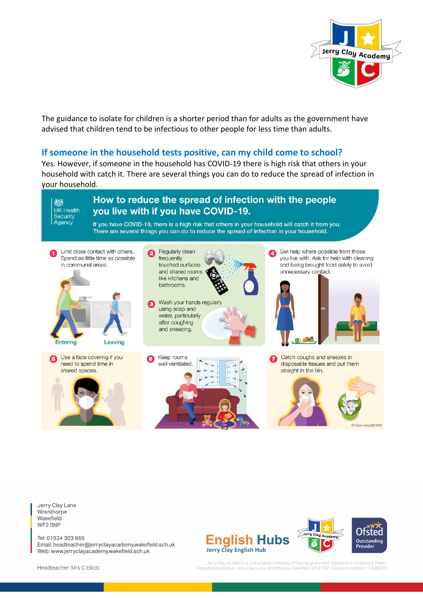

The guidance to isolate for children is a shorter period than for adults as the government have advised that children tend to be infectious to other people for less time than adults.

### **If someone in the household tests positive, can my child come to school?**

Yes. However, if someone in the household has COVID-19 there is high risk that others in your household with catch it. There are several things you can do to reduce the spread of infection in your household.



Jerry Clay Lane Wrenthorpe Wakefield WF2 ONP

Tel: 01924 303 665 Email: headteacher@jerryclayacademy.wakefield.sch.uk Web: www.jerryclayacademy.wakefield.sch.uk





Jerry Clay Academy is a charitable company limited by guarantee registered in England & Wales.<br>Registered address: Jerry Clay Lane, Wrenthorpe, Wakefield, WF2 ONP. Company number: 07688230

Headteacher: Mrs C Elliott